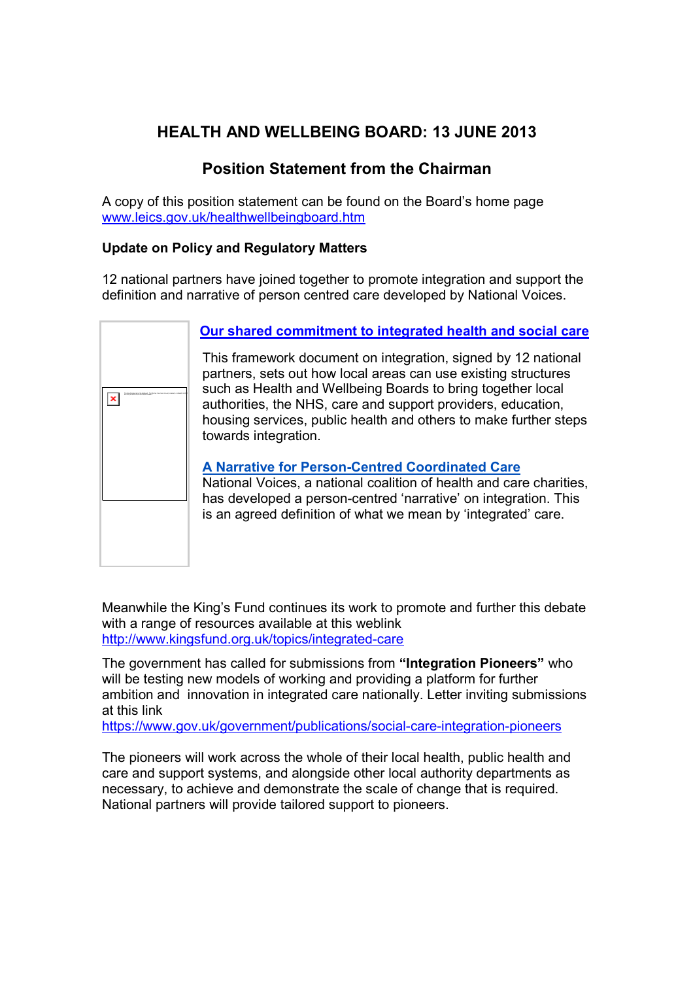# HEALTH AND WELLBEING BOARD: 13 JUNE 2013

## Position Statement from the Chairman

A copy of this position statement can be found on the Board's home page www.leics.gov.uk/healthwellbeingboard.htm

## Update on Policy and Regulatory Matters

12 national partners have joined together to promote integration and support the definition and narrative of person centred care developed by National Voices.



## Our shared commitment to integrated health and social care

This framework document on integration, signed by 12 national partners, sets out how local areas can use existing structures such as Health and Wellbeing Boards to bring together local authorities, the NHS, care and support providers, education, housing services, public health and others to make further steps towards integration.

## A Narrative for Person-Centred Coordinated Care

National Voices, a national coalition of health and care charities, has developed a person-centred 'narrative' on integration. This is an agreed definition of what we mean by 'integrated' care.

Meanwhile the King's Fund continues its work to promote and further this debate with a range of resources available at this weblink http://www.kingsfund.org.uk/topics/integrated-care

The government has called for submissions from "Integration Pioneers" who will be testing new models of working and providing a platform for further ambition and innovation in integrated care nationally. Letter inviting submissions at this link

https://www.gov.uk/government/publications/social-care-integration-pioneers

The pioneers will work across the whole of their local health, public health and care and support systems, and alongside other local authority departments as necessary, to achieve and demonstrate the scale of change that is required. National partners will provide tailored support to pioneers.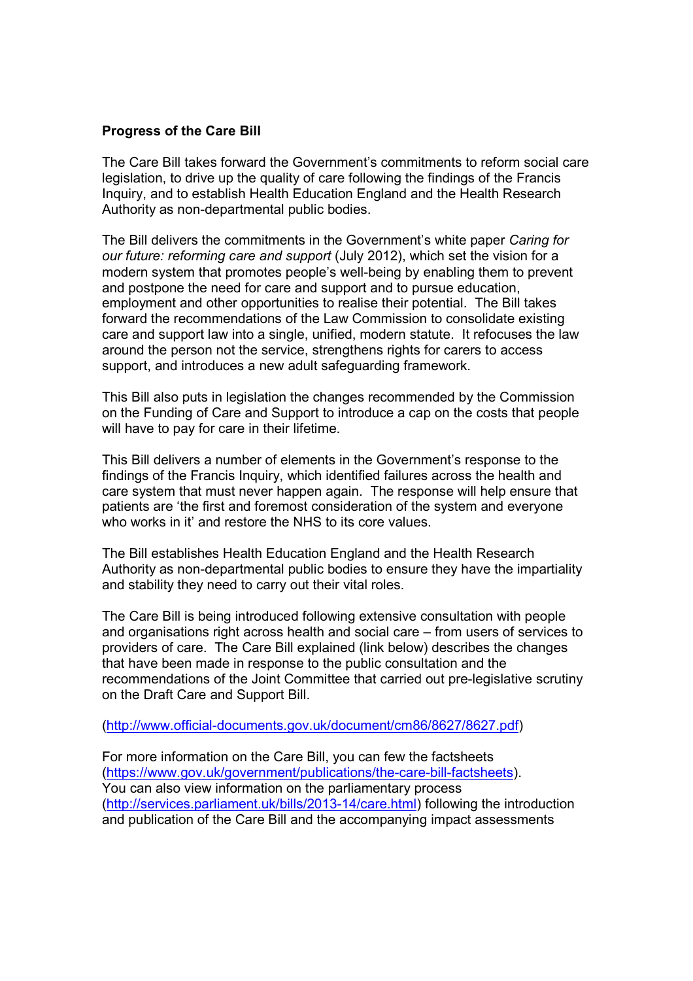#### Progress of the Care Bill

The Care Bill takes forward the Government's commitments to reform social care legislation, to drive up the quality of care following the findings of the Francis Inquiry, and to establish Health Education England and the Health Research Authority as non-departmental public bodies.

The Bill delivers the commitments in the Government's white paper Caring for our future: reforming care and support (July 2012), which set the vision for a modern system that promotes people's well-being by enabling them to prevent and postpone the need for care and support and to pursue education, employment and other opportunities to realise their potential. The Bill takes forward the recommendations of the Law Commission to consolidate existing care and support law into a single, unified, modern statute. It refocuses the law around the person not the service, strengthens rights for carers to access support, and introduces a new adult safeguarding framework.

This Bill also puts in legislation the changes recommended by the Commission on the Funding of Care and Support to introduce a cap on the costs that people will have to pay for care in their lifetime.

This Bill delivers a number of elements in the Government's response to the findings of the Francis Inquiry, which identified failures across the health and care system that must never happen again. The response will help ensure that patients are 'the first and foremost consideration of the system and everyone who works in it' and restore the NHS to its core values.

The Bill establishes Health Education England and the Health Research Authority as non-departmental public bodies to ensure they have the impartiality and stability they need to carry out their vital roles.

The Care Bill is being introduced following extensive consultation with people and organisations right across health and social care – from users of services to providers of care. The Care Bill explained (link below) describes the changes that have been made in response to the public consultation and the recommendations of the Joint Committee that carried out pre-legislative scrutiny on the Draft Care and Support Bill.

(http://www.official-documents.gov.uk/document/cm86/8627/8627.pdf)

For more information on the Care Bill, you can few the factsheets (https://www.gov.uk/government/publications/the-care-bill-factsheets). You can also view information on the parliamentary process (http://services.parliament.uk/bills/2013-14/care.html) following the introduction and publication of the Care Bill and the accompanying impact assessments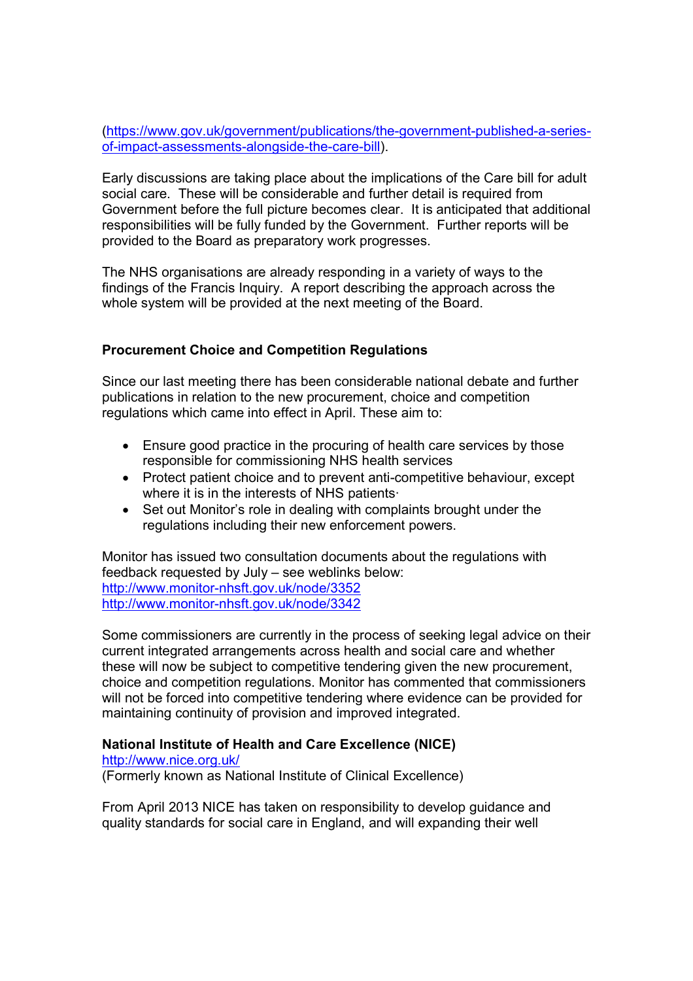(https://www.gov.uk/government/publications/the-government-published-a-seriesof-impact-assessments-alongside-the-care-bill).

Early discussions are taking place about the implications of the Care bill for adult social care. These will be considerable and further detail is required from Government before the full picture becomes clear. It is anticipated that additional responsibilities will be fully funded by the Government. Further reports will be provided to the Board as preparatory work progresses.

The NHS organisations are already responding in a variety of ways to the findings of the Francis Inquiry. A report describing the approach across the whole system will be provided at the next meeting of the Board.

## Procurement Choice and Competition Regulations

Since our last meeting there has been considerable national debate and further publications in relation to the new procurement, choice and competition regulations which came into effect in April. These aim to:

- Ensure good practice in the procuring of health care services by those responsible for commissioning NHS health services
- Protect patient choice and to prevent anti-competitive behaviour, except where it is in the interests of NHS patients·
- Set out Monitor's role in dealing with complaints brought under the regulations including their new enforcement powers.

Monitor has issued two consultation documents about the regulations with feedback requested by July – see weblinks below: http://www.monitor-nhsft.gov.uk/node/3352 http://www.monitor-nhsft.gov.uk/node/3342

Some commissioners are currently in the process of seeking legal advice on their current integrated arrangements across health and social care and whether these will now be subject to competitive tendering given the new procurement, choice and competition regulations. Monitor has commented that commissioners will not be forced into competitive tendering where evidence can be provided for maintaining continuity of provision and improved integrated.

## National Institute of Health and Care Excellence (NICE)

#### http://www.nice.org.uk/

(Formerly known as National Institute of Clinical Excellence)

From April 2013 NICE has taken on responsibility to develop guidance and quality standards for social care in England, and will expanding their well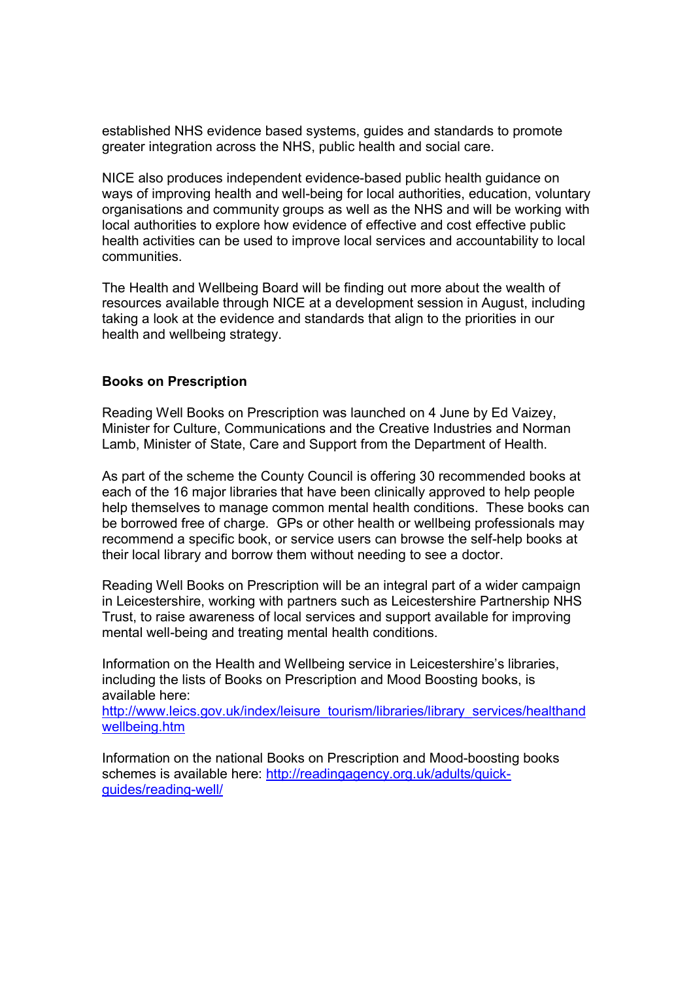established NHS evidence based systems, guides and standards to promote greater integration across the NHS, public health and social care.

NICE also produces independent evidence-based public health guidance on ways of improving health and well-being for local authorities, education, voluntary organisations and community groups as well as the NHS and will be working with local authorities to explore how evidence of effective and cost effective public health activities can be used to improve local services and accountability to local communities.

The Health and Wellbeing Board will be finding out more about the wealth of resources available through NICE at a development session in August, including taking a look at the evidence and standards that align to the priorities in our health and wellbeing strategy.

#### Books on Prescription

Reading Well Books on Prescription was launched on 4 June by Ed Vaizey, Minister for Culture, Communications and the Creative Industries and Norman Lamb, Minister of State, Care and Support from the Department of Health.

As part of the scheme the County Council is offering 30 recommended books at each of the 16 major libraries that have been clinically approved to help people help themselves to manage common mental health conditions. These books can be borrowed free of charge. GPs or other health or wellbeing professionals may recommend a specific book, or service users can browse the self-help books at their local library and borrow them without needing to see a doctor.

Reading Well Books on Prescription will be an integral part of a wider campaign in Leicestershire, working with partners such as Leicestershire Partnership NHS Trust, to raise awareness of local services and support available for improving mental well-being and treating mental health conditions.

Information on the Health and Wellbeing service in Leicestershire's libraries, including the lists of Books on Prescription and Mood Boosting books, is available here:

http://www.leics.gov.uk/index/leisure\_tourism/libraries/library\_services/healthand wellbeing.htm

Information on the national Books on Prescription and Mood-boosting books schemes is available here: http://readingagency.org.uk/adults/quickguides/reading-well/